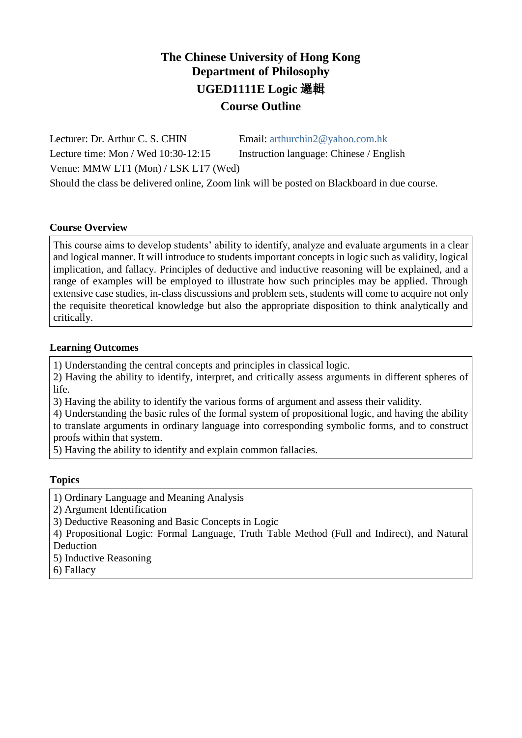## **The Chinese University of Hong Kong Department of Philosophy UGED1111E Logic** 邏輯 **Course Outline**

Lecturer: Dr. Arthur C. S. CHIN Email: [arthurchin2@yahoo.com.hk](mailto:arthurchin2@yahoo.com.hk) Lecture time: Mon / Wed 10:30-12:15 Instruction language: Chinese / English Venue: MMW LT1 (Mon) / LSK LT7 (Wed) Should the class be delivered online, Zoom link will be posted on Blackboard in due course.

#### **Course Overview**

This course aims to develop students' ability to identify, analyze and evaluate arguments in a clear and logical manner. It will introduce to students important concepts in logic such as validity, logical implication, and fallacy. Principles of deductive and inductive reasoning will be explained, and a range of examples will be employed to illustrate how such principles may be applied. Through extensive case studies, in-class discussions and problem sets, students will come to acquire not only the requisite theoretical knowledge but also the appropriate disposition to think analytically and critically.

#### **Learning Outcomes**

1) Understanding the central concepts and principles in classical logic.

2) Having the ability to identify, interpret, and critically assess arguments in different spheres of life.

3) Having the ability to identify the various forms of argument and assess their validity.

4) Understanding the basic rules of the formal system of propositional logic, and having the ability to translate arguments in ordinary language into corresponding symbolic forms, and to construct proofs within that system.

5) Having the ability to identify and explain common fallacies.

## **Topics**

1) Ordinary Language and Meaning Analysis

2) Argument Identification

3) Deductive Reasoning and Basic Concepts in Logic

4) Propositional Logic: Formal Language, Truth Table Method (Full and Indirect), and Natural Deduction

- 5) Inductive Reasoning
- 6) Fallacy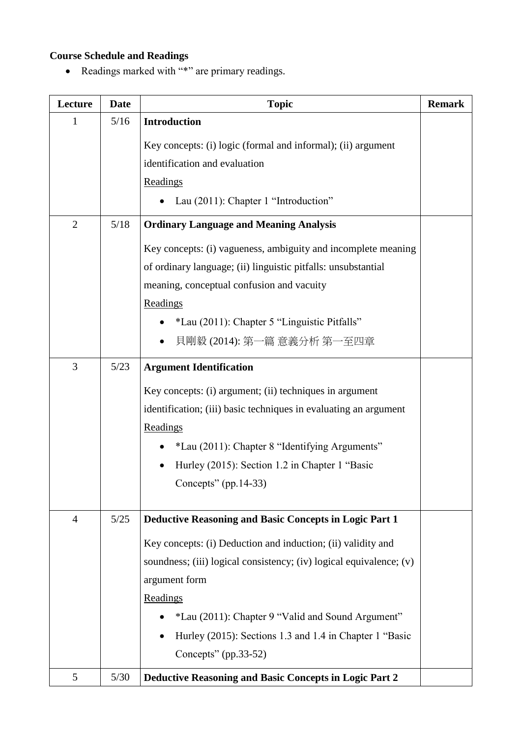# **Course Schedule and Readings**

Readings marked with "\*" are primary readings.

| Lecture        | <b>Date</b>                                                             | <b>Topic</b>                                                        | <b>Remark</b> |  |
|----------------|-------------------------------------------------------------------------|---------------------------------------------------------------------|---------------|--|
| 1              | 5/16                                                                    | <b>Introduction</b>                                                 |               |  |
|                |                                                                         | Key concepts: (i) logic (formal and informal); (ii) argument        |               |  |
|                |                                                                         | identification and evaluation                                       |               |  |
|                |                                                                         | Readings                                                            |               |  |
|                |                                                                         | Lau (2011): Chapter 1 "Introduction"                                |               |  |
| $\overline{2}$ | 5/18                                                                    | <b>Ordinary Language and Meaning Analysis</b>                       |               |  |
|                |                                                                         | Key concepts: (i) vagueness, ambiguity and incomplete meaning       |               |  |
|                |                                                                         | of ordinary language; (ii) linguistic pitfalls: unsubstantial       |               |  |
|                |                                                                         | meaning, conceptual confusion and vacuity                           |               |  |
|                |                                                                         | Readings                                                            |               |  |
|                |                                                                         | *Lau (2011): Chapter 5 "Linguistic Pitfalls"                        |               |  |
|                |                                                                         | 貝剛毅 (2014): 第一篇 意義分析 第一至四章                                          |               |  |
| 3              | 5/23                                                                    | <b>Argument Identification</b>                                      |               |  |
|                |                                                                         | Key concepts: (i) argument; (ii) techniques in argument             |               |  |
|                |                                                                         | identification; (iii) basic techniques in evaluating an argument    |               |  |
|                |                                                                         | Readings                                                            |               |  |
|                |                                                                         | *Lau (2011): Chapter 8 "Identifying Arguments"                      |               |  |
|                |                                                                         | Hurley (2015): Section 1.2 in Chapter 1 "Basic                      |               |  |
|                |                                                                         | Concepts" $(pp.14-33)$                                              |               |  |
| $\overline{4}$ | $5/25$<br><b>Deductive Reasoning and Basic Concepts in Logic Part 1</b> |                                                                     |               |  |
|                |                                                                         | Key concepts: (i) Deduction and induction; (ii) validity and        |               |  |
|                |                                                                         | soundness; (iii) logical consistency; (iv) logical equivalence; (v) |               |  |
|                |                                                                         | argument form                                                       |               |  |
|                |                                                                         | Readings                                                            |               |  |
|                |                                                                         | *Lau (2011): Chapter 9 "Valid and Sound Argument"                   |               |  |
|                |                                                                         | Hurley (2015): Sections 1.3 and 1.4 in Chapter 1 "Basic             |               |  |
|                |                                                                         | Concepts" $(pp.33-52)$                                              |               |  |
| 5              | $5/30$                                                                  | <b>Deductive Reasoning and Basic Concepts in Logic Part 2</b>       |               |  |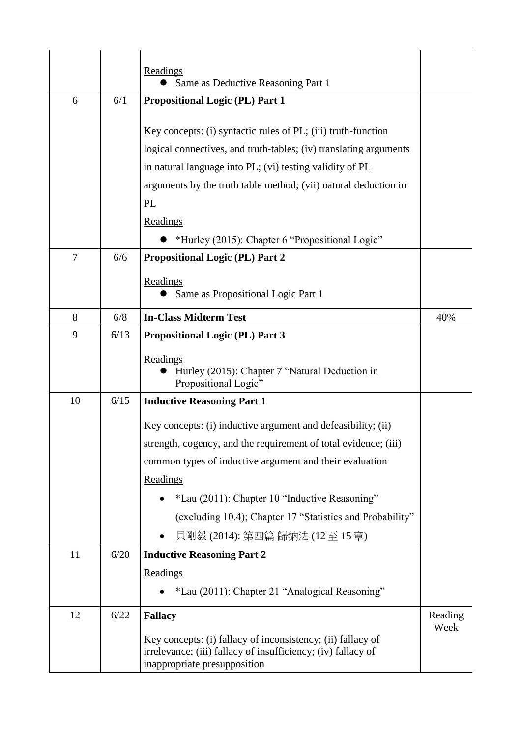|                |      | Readings<br>Same as Deductive Reasoning Part 1                                                                                                              |                 |
|----------------|------|-------------------------------------------------------------------------------------------------------------------------------------------------------------|-----------------|
| 6              | 6/1  | <b>Propositional Logic (PL) Part 1</b>                                                                                                                      |                 |
|                |      | Key concepts: (i) syntactic rules of PL; (iii) truth-function                                                                                               |                 |
|                |      | logical connectives, and truth-tables; (iv) translating arguments                                                                                           |                 |
|                |      | in natural language into PL; (vi) testing validity of PL                                                                                                    |                 |
|                |      | arguments by the truth table method; (vii) natural deduction in                                                                                             |                 |
|                |      | PL                                                                                                                                                          |                 |
|                |      | Readings                                                                                                                                                    |                 |
|                |      | *Hurley (2015): Chapter 6 "Propositional Logic"                                                                                                             |                 |
| $\overline{7}$ | 6/6  | <b>Propositional Logic (PL) Part 2</b>                                                                                                                      |                 |
|                |      | Readings                                                                                                                                                    |                 |
|                |      | Same as Propositional Logic Part 1                                                                                                                          |                 |
| 8              | 6/8  | <b>In-Class Midterm Test</b>                                                                                                                                | 40%             |
| 9              | 6/13 | <b>Propositional Logic (PL) Part 3</b>                                                                                                                      |                 |
|                |      | Readings<br>Hurley (2015): Chapter 7 "Natural Deduction in<br>Propositional Logic"                                                                          |                 |
| 10             | 6/15 | <b>Inductive Reasoning Part 1</b>                                                                                                                           |                 |
|                |      | Key concepts: (i) inductive argument and defeasibility; (ii)                                                                                                |                 |
|                |      | strength, cogency, and the requirement of total evidence; (iii)                                                                                             |                 |
|                |      | common types of inductive argument and their evaluation                                                                                                     |                 |
|                |      | Readings                                                                                                                                                    |                 |
|                |      | *Lau (2011): Chapter 10 "Inductive Reasoning"                                                                                                               |                 |
|                |      | (excluding 10.4); Chapter 17 "Statistics and Probability"                                                                                                   |                 |
|                |      | 貝剛毅 (2014): 第四篇 歸納法 (12至15章)                                                                                                                                |                 |
| 11             | 6/20 | <b>Inductive Reasoning Part 2</b>                                                                                                                           |                 |
|                |      | Readings                                                                                                                                                    |                 |
|                |      | *Lau (2011): Chapter 21 "Analogical Reasoning"                                                                                                              |                 |
| 12             | 6/22 | <b>Fallacy</b>                                                                                                                                              | Reading<br>Week |
|                |      | Key concepts: (i) fallacy of inconsistency; (ii) fallacy of<br>irrelevance; (iii) fallacy of insufficiency; (iv) fallacy of<br>inappropriate presupposition |                 |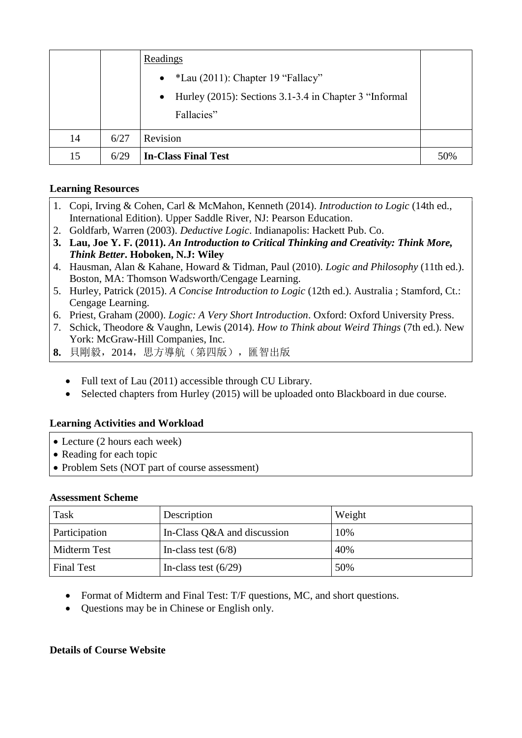|    |      | Readings                                                                          |     |
|----|------|-----------------------------------------------------------------------------------|-----|
|    |      | $*$ Lau (2011): Chapter 19 "Fallacy"<br>$\bullet$                                 |     |
|    |      | Hurley (2015): Sections 3.1-3.4 in Chapter 3 "Informal<br>$\bullet$<br>Fallacies" |     |
| 14 | 6/27 | Revision                                                                          |     |
| 15 | 6/29 | <b>In-Class Final Test</b>                                                        | 50% |

## **Learning Resources**

- 1. Copi, Irving & Cohen, Carl & McMahon, Kenneth (2014). *Introduction to Logic* (14th ed., International Edition). Upper Saddle River, NJ: Pearson Education.
- 2. Goldfarb, Warren (2003). *Deductive Logic*. Indianapolis: Hackett Pub. Co.
- **3. Lau, Joe Y. F. (2011).** *An Introduction to Critical Thinking and Creativity: Think More, Think Better***. Hoboken, N.J: Wiley**
- 4. Hausman, Alan & Kahane, Howard & Tidman, Paul (2010). *Logic and Philosophy* (11th ed.). Boston, MA: Thomson Wadsworth/Cengage Learning.
- 5. Hurley, Patrick (2015). *A Concise Introduction to Logic* (12th ed.). Australia ; Stamford, Ct.: Cengage Learning.
- 6. Priest, Graham (2000). *Logic: A Very Short Introduction*. Oxford: Oxford University Press.
- 7. Schick, Theodore & Vaughn, Lewis (2014). *How to Think about Weird Things* (7th ed.). New York: McGraw-Hill Companies, Inc.
- **8.** 貝剛毅,2014,思方導航(第四版),匯智出版
	- Full text of Lau (2011) accessible through CU Library.
	- Selected chapters from Hurley (2015) will be uploaded onto Blackboard in due course.

## **Learning Activities and Workload**

- Lecture (2 hours each week)
- Reading for each topic
- Problem Sets (NOT part of course assessment)

## **Assessment Scheme**

| Task                | Description                 | Weight |
|---------------------|-----------------------------|--------|
| Participation       | In-Class Q&A and discussion | 10%    |
| <b>Midterm Test</b> | In-class test $(6/8)$       | 40%    |
| <b>Final Test</b>   | In-class test $(6/29)$      | 50%    |

- Format of Midterm and Final Test: T/F questions, MC, and short questions.
- Questions may be in Chinese or English only.

## **Details of Course Website**